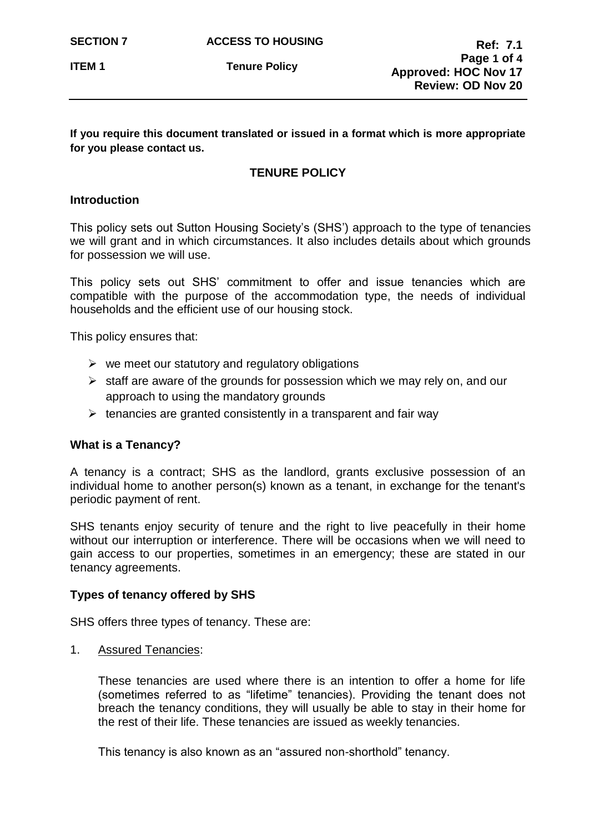**ITEM 1** Tenure Policy

**If you require this document translated or issued in a format which is more appropriate for you please contact us.**

# **TENURE POLICY**

### **Introduction**

This policy sets out Sutton Housing Society's (SHS') approach to the type of tenancies we will grant and in which circumstances. It also includes details about which grounds for possession we will use.

This policy sets out SHS' commitment to offer and issue tenancies which are compatible with the purpose of the accommodation type, the needs of individual households and the efficient use of our housing stock.

This policy ensures that:

- $\triangleright$  we meet our statutory and regulatory obligations
- $\triangleright$  staff are aware of the grounds for possession which we may rely on, and our approach to using the mandatory grounds
- $\triangleright$  tenancies are granted consistently in a transparent and fair way

#### **What is a Tenancy?**

A tenancy is a contract; SHS as the landlord, grants exclusive possession of an individual home to another person(s) known as a tenant, in exchange for the tenant's periodic payment of rent.

SHS tenants enjoy security of tenure and the right to live peacefully in their home without our interruption or interference. There will be occasions when we will need to gain access to our properties, sometimes in an emergency; these are stated in our tenancy agreements.

#### **Types of tenancy offered by SHS**

SHS offers three types of tenancy. These are:

1. Assured Tenancies:

These tenancies are used where there is an intention to offer a home for life (sometimes referred to as "lifetime" tenancies). Providing the tenant does not breach the tenancy conditions, they will usually be able to stay in their home for the rest of their life. These tenancies are issued as weekly tenancies.

This tenancy is also known as an "assured non-shorthold" tenancy.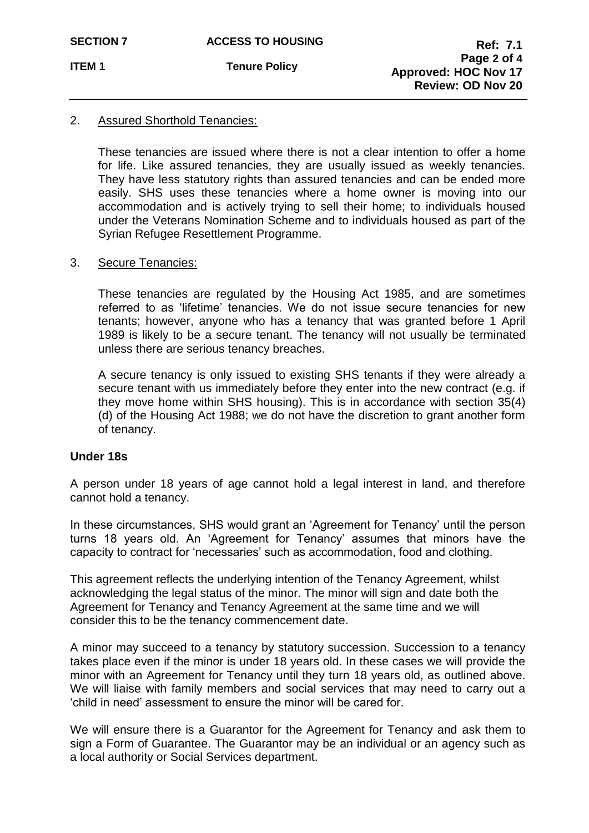### 2. Assured Shorthold Tenancies:

These tenancies are issued where there is not a clear intention to offer a home for life. Like assured tenancies, they are usually issued as weekly tenancies. They have less statutory rights than assured tenancies and can be ended more easily. SHS uses these tenancies where a home owner is moving into our accommodation and is actively trying to sell their home; to individuals housed under the Veterans Nomination Scheme and to individuals housed as part of the Syrian Refugee Resettlement Programme.

### 3. Secure Tenancies:

These tenancies are regulated by the Housing Act 1985, and are sometimes referred to as 'lifetime' tenancies. We do not issue secure tenancies for new tenants; however, anyone who has a tenancy that was granted before 1 April 1989 is likely to be a secure tenant. The tenancy will not usually be terminated unless there are serious tenancy breaches.

A secure tenancy is only issued to existing SHS tenants if they were already a secure tenant with us immediately before they enter into the new contract (e.g. if they move home within SHS housing). This is in accordance with section 35(4) (d) of the Housing Act 1988; we do not have the discretion to grant another form of tenancy.

#### **Under 18s**

A person under 18 years of age cannot hold a legal interest in land, and therefore cannot hold a tenancy.

In these circumstances, SHS would grant an 'Agreement for Tenancy' until the person turns 18 years old. An 'Agreement for Tenancy' assumes that minors have the capacity to contract for 'necessaries' such as accommodation, food and clothing.

This agreement reflects the underlying intention of the Tenancy Agreement, whilst acknowledging the legal status of the minor. The minor will sign and date both the Agreement for Tenancy and Tenancy Agreement at the same time and we will consider this to be the tenancy commencement date.

A minor may succeed to a tenancy by statutory succession. Succession to a tenancy takes place even if the minor is under 18 years old. In these cases we will provide the minor with an Agreement for Tenancy until they turn 18 years old, as outlined above. We will liaise with family members and social services that may need to carry out a 'child in need' assessment to ensure the minor will be cared for.

We will ensure there is a Guarantor for the Agreement for Tenancy and ask them to sign a Form of Guarantee. The Guarantor may be an individual or an agency such as a local authority or Social Services department.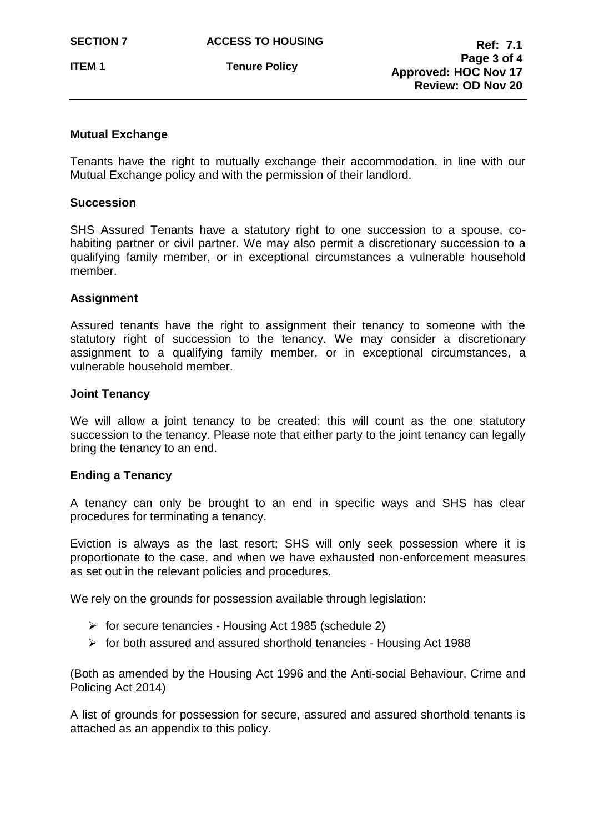SECTION 7 ACCESS TO HOUSING

**ITEM 1** Tenure Policy

### **Mutual Exchange**

Tenants have the right to mutually exchange their accommodation, in line with our Mutual Exchange policy and with the permission of their landlord.

### **Succession**

SHS Assured Tenants have a statutory right to one succession to a spouse, cohabiting partner or civil partner. We may also permit a discretionary succession to a qualifying family member, or in exceptional circumstances a vulnerable household member.

### **Assignment**

Assured tenants have the right to assignment their tenancy to someone with the statutory right of succession to the tenancy. We may consider a discretionary assignment to a qualifying family member, or in exceptional circumstances, a vulnerable household member.

### **Joint Tenancy**

We will allow a joint tenancy to be created; this will count as the one statutory succession to the tenancy. Please note that either party to the joint tenancy can legally bring the tenancy to an end.

# **Ending a Tenancy**

A tenancy can only be brought to an end in specific ways and SHS has clear procedures for terminating a tenancy.

Eviction is always as the last resort; SHS will only seek possession where it is proportionate to the case, and when we have exhausted non-enforcement measures as set out in the relevant policies and procedures.

We rely on the grounds for possession available through legislation:

- $\triangleright$  for secure tenancies Housing Act 1985 (schedule 2)
- $\triangleright$  for both assured and assured shorthold tenancies Housing Act 1988

(Both as amended by the Housing Act 1996 and the Anti-social Behaviour, Crime and Policing Act 2014)

A list of grounds for possession for secure, assured and assured shorthold tenants is attached as an appendix to this policy.